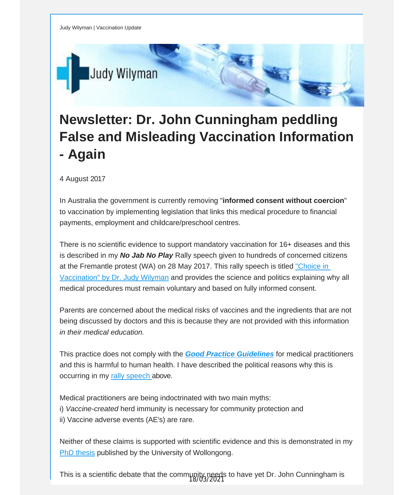

## **Newsletter: Dr. John Cunningham peddling False and Misleading Vaccination Information - Again**

4 August 2017

In Australia the government is currently removing "**informed consent without coercion**" to vaccination by implementing legislation that links this medical procedure to financial payments, employment and childcare/preschool centres.

There is no scientific evidence to support mandatory vaccination for 16+ diseases and this is described in my *No Jab No Play* Rally speech given to hundreds of concerned citizens at the Fremantle protest (WA) on 28 May 2017. This rally speech is titled ["Choice](http://vaccinationdecisions.us8.list-manage.com/track/click?u=f20605fde3732e41929f4a3f2&id=edae9beee5&e=fec8337d3c) in [Vaccination"](http://vaccinationdecisions.us8.list-manage.com/track/click?u=f20605fde3732e41929f4a3f2&id=edae9beee5&e=fec8337d3c) by Dr. Judy Wilyman and provides the science and politics explaining why all medical procedures must remain voluntary and based on fully informed consent.

Parents are concerned about the medical risks of vaccines and the ingredients that are not being discussed by doctors and this is because they are not provided with this information *in their medical education.*

This practice does not comply with the *Good Practice [Guidelines](http://vaccinationdecisions.us8.list-manage1.com/track/click?u=f20605fde3732e41929f4a3f2&id=7b2f611261&e=fec8337d3c)* for medical practitioners and this is harmful to human health. I have described the political reasons why this is occurring in my rally [speech](http://vaccinationdecisions.us8.list-manage1.com/track/click?u=f20605fde3732e41929f4a3f2&id=463a8ee4a7&e=fec8337d3c) above.

Medical practitioners are being indoctrinated with two main myths: i) *Vaccine-created* herd immunity is necessary for community protection and ii) Vaccine adverse events (AE's) are rare.

Neither of these claims is supported with scientific evidence and this is demonstrated in my PhD [thesis](http://vaccinationdecisions.us8.list-manage1.com/track/click?u=f20605fde3732e41929f4a3f2&id=ca4009695f&e=fec8337d3c) published by the University of Wollongong.

This is a scientific debate that the community needs to have yet Dr. John Cunningham is 18/03/2021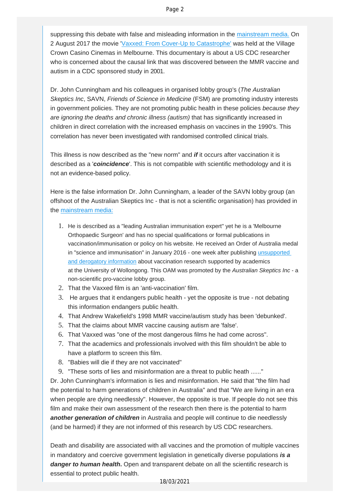suppressing this debate with false and misleading information in the [mainstream media.](http://vaccinationdecisions.us8.list-manage.com/track/click?u=f20605fde3732e41929f4a3f2&id=9e2cda2f4c&e=fec8337d3c) On 2 August 2017 the movie '[Vaxxed: From Cover-Up to Catastrophe'](http://vaccinationdecisions.us8.list-manage1.com/track/click?u=f20605fde3732e41929f4a3f2&id=00161457bd&e=fec8337d3c) was held at the Village Crown Casino Cinemas in Melbourne. This documentary is about a US CDC researcher who is concerned about the causal link that was discovered between the MMR vaccine and autism in a CDC sponsored study in 2001.

Dr. John Cunningham and his colleagues in organised lobby group's (*The Australian Skeptics Inc*, SAVN, *Friends of Science in Medicine* (FSM) are promoting industry interests in government policies. They are not promoting public health in these policies *because they are ignoring the deaths and chronic illness (autism)* that has significantly increased in children in direct correlation with the increased emphasis on vaccines in the 1990's. This correlation has never been investigated with randomised controlled clinical trials.

This illness is now described as the "new norm" and *if* it occurs after vaccination it is described as a '*coincidence*'. This is not compatible with scientific methodology and it is not an evidence-based policy.

Here is the false information Dr. John Cunningham, a leader of the SAVN lobby group (an offshoot of the Australian Skeptics Inc - that is not a scientific organisation) has provided in the [mainstream media:](http://vaccinationdecisions.us8.list-manage2.com/track/click?u=f20605fde3732e41929f4a3f2&id=304e4d5585&e=fec8337d3c)

- 1. He is described as a "leading Australian immunisation expert" yet he is a 'Melbourne Orthopaedic Surgeon' and has no special qualifications or formal publications in vaccination/immunisation or policy on his website. He received an Order of Australia medal in "science and immunisation" in January 2016 - one week after publishing *unsupported* [and derogatory information](http://vaccinationdecisions.us8.list-manage.com/track/click?u=f20605fde3732e41929f4a3f2&id=b7f3e63729&e=fec8337d3c) about vaccination research supported by academics at the University of Wollongong. This OAM was promoted by the *Australian Skeptics Inc* - a non-scientific pro-vaccine lobby group.
- 2. That the Vaxxed film is an 'anti-vaccination' film.
- 3. He argues that it endangers public health yet the opposite is true not debating this information endangers public health.
- 4. That Andrew Wakefield's 1998 MMR vaccine/autism study has been 'debunked'.
- 5. That the claims about MMR vaccine causing autism are 'false'.
- 6. That Vaxxed was "one of the most dangerous films he had come across".
- 7. That the academics and professionals involved with this film shouldn't be able to have a platform to screen this film.
- 8. "Babies will die if they are not vaccinated"
- 9. "These sorts of lies and misinformation are a threat to public heath ......"

Dr. John Cunningham's information is lies and misinformation. He said that "the film had the potential to harm generations of children in Australia" and that "We are living in an era when people are dying needlessly". However, the opposite is true. If people do not see this film and make their own assessment of the research then there is the potential to harm *another generation of children* in Australia and people will continue to die needlessly (and be harmed) if they are not informed of this research by US CDC researchers.

Death and disability are associated with all vaccines and the promotion of multiple vaccines in mandatory and coercive government legislation in genetically diverse populations *is a danger to human health***.** Open and transparent debate on all the scientific research is essential to protect public health.